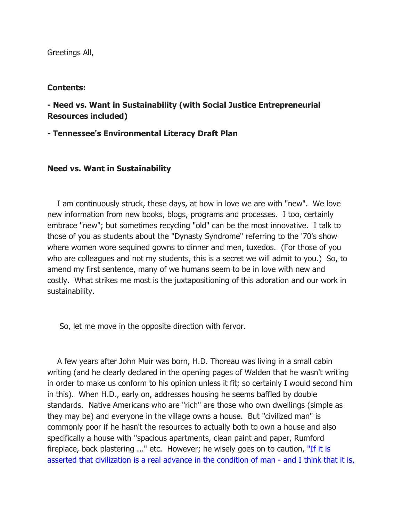Greetings All,

### Contents:

- Need vs. Want in Sustainability (with Social Justice Entrepreneurial Resources included)

## - Tennessee's Environmental Literacy Draft Plan

## Need vs. Want in Sustainability

 I am continuously struck, these days, at how in love we are with "new". We love new information from new books, blogs, programs and processes. I too, certainly embrace "new"; but sometimes recycling "old" can be the most innovative. I talk to those of you as students about the "Dynasty Syndrome" referring to the '70's show where women wore sequined gowns to dinner and men, tuxedos. (For those of you who are colleagues and not my students, this is a secret we will admit to you.) So, to amend my first sentence, many of we humans seem to be in love with new and costly. What strikes me most is the juxtapositioning of this adoration and our work in sustainability.

So, let me move in the opposite direction with fervor.

 A few years after John Muir was born, H.D. Thoreau was living in a small cabin writing (and he clearly declared in the opening pages of Walden that he wasn't writing in order to make us conform to his opinion unless it fit; so certainly I would second him in this). When H.D., early on, addresses housing he seems baffled by double standards. Native Americans who are "rich" are those who own dwellings (simple as they may be) and everyone in the village owns a house. But "civilized man" is commonly poor if he hasn't the resources to actually both to own a house and also specifically a house with "spacious apartments, clean paint and paper, Rumford fireplace, back plastering ..." etc. However; he wisely goes on to caution, "If it is asserted that civilization is a real advance in the condition of man - and I think that it is,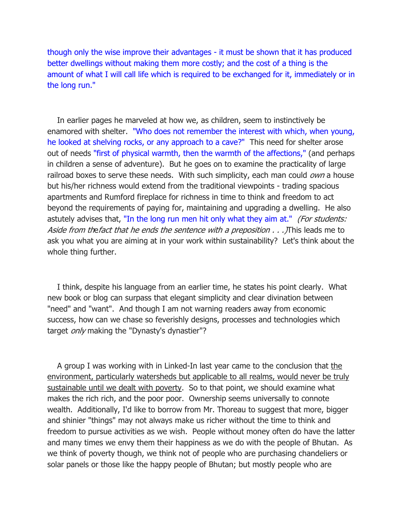though only the wise improve their advantages - it must be shown that it has produced better dwellings without making them more costly; and the cost of a thing is the amount of what I will call life which is required to be exchanged for it, immediately or in the long run."

 In earlier pages he marveled at how we, as children, seem to instinctively be enamored with shelter. "Who does not remember the interest with which, when young, he looked at shelving rocks, or any approach to a cave?" This need for shelter arose out of needs "first of physical warmth, then the warmth of the affections," (and perhaps in children a sense of adventure). But he goes on to examine the practicality of large railroad boxes to serve these needs. With such simplicity, each man could *own* a house but his/her richness would extend from the traditional viewpoints - trading spacious apartments and Rumford fireplace for richness in time to think and freedom to act beyond the requirements of paying for, maintaining and upgrading a dwelling. He also astutely advises that, "In the long run men hit only what they aim at." (For students: Aside from the fact that he ends the sentence with a preposition . . . ) This leads me to ask you what you are aiming at in your work within sustainability? Let's think about the whole thing further.

 I think, despite his language from an earlier time, he states his point clearly. What new book or blog can surpass that elegant simplicity and clear divination between "need" and "want". And though I am not warning readers away from economic success, how can we chase so feverishly designs, processes and technologies which target *only* making the "Dynasty's dynastier"?

 A group I was working with in Linked-In last year came to the conclusion that the environment, particularly watersheds but applicable to all realms, would never be truly sustainable until we dealt with poverty. So to that point, we should examine what makes the rich rich, and the poor poor. Ownership seems universally to connote wealth. Additionally, I'd like to borrow from Mr. Thoreau to suggest that more, bigger and shinier "things" may not always make us richer without the time to think and freedom to pursue activities as we wish. People without money often do have the latter and many times we envy them their happiness as we do with the people of Bhutan. As we think of poverty though, we think not of people who are purchasing chandeliers or solar panels or those like the happy people of Bhutan; but mostly people who are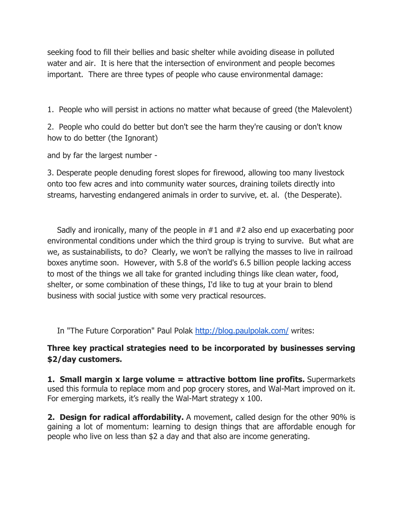seeking food to fill their bellies and basic shelter while avoiding disease in polluted water and air. It is here that the intersection of environment and people becomes important. There are three types of people who cause environmental damage:

1. People who will persist in actions no matter what because of greed (the Malevolent)

2. People who could do better but don't see the harm they're causing or don't know how to do better (the Ignorant)

and by far the largest number -

3. Desperate people denuding forest slopes for firewood, allowing too many livestock onto too few acres and into community water sources, draining toilets directly into streams, harvesting endangered animals in order to survive, et. al. (the Desperate).

 Sadly and ironically, many of the people in #1 and #2 also end up exacerbating poor environmental conditions under which the third group is trying to survive. But what are we, as sustainabilists, to do? Clearly, we won't be rallying the masses to live in railroad boxes anytime soon. However, with 5.8 of the world's 6.5 billion people lacking access to most of the things we all take for granted including things like clean water, food, shelter, or some combination of these things, I'd like to tug at your brain to blend business with social justice with some very practical resources.

In "The Future Corporation" Paul Polak http://blog.paulpolak.com/ writes:

# Three key practical strategies need to be incorporated by businesses serving \$2/day customers.

1. Small margin x large volume = attractive bottom line profits. Supermarkets used this formula to replace mom and pop grocery stores, and Wal-Mart improved on it. For emerging markets, it's really the Wal-Mart strategy x 100.

2. Design for radical affordability. A movement, called design for the other 90% is gaining a lot of momentum: learning to design things that are affordable enough for people who live on less than \$2 a day and that also are income generating.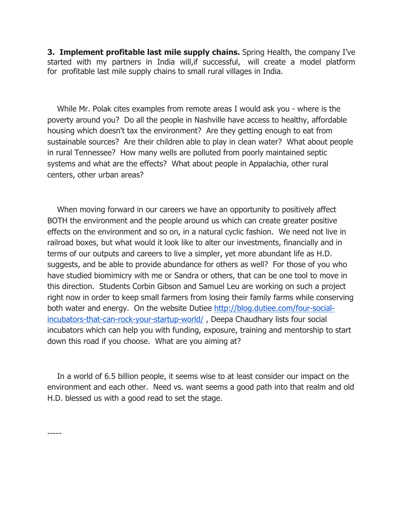**3. Implement profitable last mile supply chains.** Spring Health, the company I've started with my partners in India will,if successful, will create a model platform for profitable last mile supply chains to small rural villages in India.

 While Mr. Polak cites examples from remote areas I would ask you - where is the poverty around you? Do all the people in Nashville have access to healthy, affordable housing which doesn't tax the environment? Are they getting enough to eat from sustainable sources? Are their children able to play in clean water? What about people in rural Tennessee? How many wells are polluted from poorly maintained septic systems and what are the effects? What about people in Appalachia, other rural centers, other urban areas?

 When moving forward in our careers we have an opportunity to positively affect BOTH the environment and the people around us which can create greater positive effects on the environment and so on, in a natural cyclic fashion. We need not live in railroad boxes, but what would it look like to alter our investments, financially and in terms of our outputs and careers to live a simpler, yet more abundant life as H.D. suggests, and be able to provide abundance for others as well? For those of you who have studied biomimicry with me or Sandra or others, that can be one tool to move in this direction. Students Corbin Gibson and Samuel Leu are working on such a project right now in order to keep small farmers from losing their family farms while conserving both water and energy. On the website Dutiee http://blog.dutiee.com/four-socialincubators-that-can-rock-your-startup-world/ , Deepa Chaudhary lists four social incubators which can help you with funding, exposure, training and mentorship to start down this road if you choose. What are you aiming at?

 In a world of 6.5 billion people, it seems wise to at least consider our impact on the environment and each other. Need vs. want seems a good path into that realm and old H.D. blessed us with a good read to set the stage.

-----